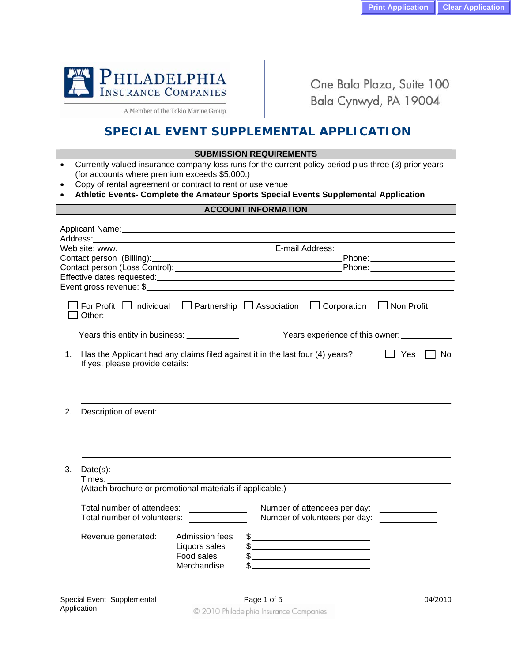

Application

One Bala Plaza, Suite 100 Bala Cynwyd, PA 19004

A Member of the Tokio Marine Group

## **SPECIAL EVENT SUPPLEMENTAL APPLICATION**

## **SUBMISSION REQUIREMENTS**

- Currently valued insurance company loss runs for the current policy period plus three (3) prior years (for accounts where premium exceeds \$5,000.)
- Copy of rental agreement or contract to rent or use venue
- **Athletic Events- Complete the Amateur Sports Special Events Supplemental Application**

## **ACCOUNT INFORMATION**

|                                                                                                                        |                                                              |                                                               | Phone: National Assembly Phone: |                   |         |  |  |  |
|------------------------------------------------------------------------------------------------------------------------|--------------------------------------------------------------|---------------------------------------------------------------|---------------------------------|-------------------|---------|--|--|--|
|                                                                                                                        |                                                              |                                                               |                                 |                   |         |  |  |  |
|                                                                                                                        |                                                              |                                                               |                                 |                   |         |  |  |  |
|                                                                                                                        |                                                              |                                                               |                                 |                   |         |  |  |  |
| For Profit $\Box$ Individual $\Box$ Partnership $\Box$ Association                                                     |                                                              |                                                               | $\Box$ Corporation              | $\Box$ Non Profit |         |  |  |  |
| Years experience of this owner:<br>Years this entity in business: _____________                                        |                                                              |                                                               |                                 |                   |         |  |  |  |
| Has the Applicant had any claims filed against it in the last four (4) years?<br>1.<br>If yes, please provide details: |                                                              |                                                               |                                 | Yes               | No.     |  |  |  |
| Description of event:<br>2.                                                                                            |                                                              |                                                               |                                 |                   |         |  |  |  |
|                                                                                                                        |                                                              |                                                               |                                 |                   |         |  |  |  |
| Date(s):<br>3.                                                                                                         |                                                              |                                                               |                                 |                   |         |  |  |  |
|                                                                                                                        | (Attach brochure or promotional materials if applicable.)    |                                                               |                                 |                   |         |  |  |  |
| Total number of attendees:<br>Total number of volunteers:                                                              |                                                              | Number of attendees per day:<br>Number of volunteers per day: |                                 |                   |         |  |  |  |
| Revenue generated:                                                                                                     | Admission fees<br>Liquors sales<br>Food sales<br>Merchandise |                                                               | $\frac{1}{2}$                   |                   |         |  |  |  |
| Special Event Supplemental                                                                                             |                                                              | Page 1 of 5                                                   |                                 |                   | 04/2010 |  |  |  |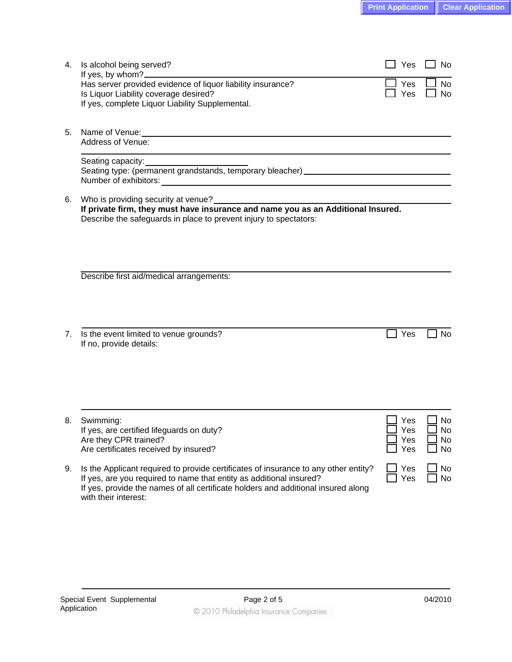| 4. | Is alcohol being served?<br>If yes, by whom?                                                                                                                                                                                                                            | Yes                       | <b>No</b>                        |
|----|-------------------------------------------------------------------------------------------------------------------------------------------------------------------------------------------------------------------------------------------------------------------------|---------------------------|----------------------------------|
|    | Has server provided evidence of liquor liability insurance?<br>Is Liquor Liability coverage desired?<br>If yes, complete Liquor Liability Supplemental.                                                                                                                 | Yes<br><b>Yes</b>         | No<br><b>No</b>                  |
| 5. | Address of Venue:                                                                                                                                                                                                                                                       |                           |                                  |
|    |                                                                                                                                                                                                                                                                         |                           |                                  |
| 6. | Who is providing security at venue?<br>If private firm, they must have insurance and name you as an Additional Insured.<br>Describe the safeguards in place to prevent injury to spectators:                                                                            |                           |                                  |
|    | Describe first aid/medical arrangements:                                                                                                                                                                                                                                |                           |                                  |
| 7. | Is the event limited to venue grounds?<br>If no, provide details:                                                                                                                                                                                                       | Yes                       | No                               |
| 8. | Swimming:<br>If yes, are certified lifeguards on duty?<br>Are they CPR trained?<br>Are certificates received by insured?                                                                                                                                                | Yes<br>Y es<br>Yes<br>Yes | No<br>N <sub>O</sub><br>No<br>No |
| 9. | Is the Applicant required to provide certificates of insurance to any other entity?<br>If yes, are you required to name that entity as additional insured?<br>If yes, provide the names of all certificate holders and additional insured along<br>with their interest: | Yes<br>Yes                | No<br>No                         |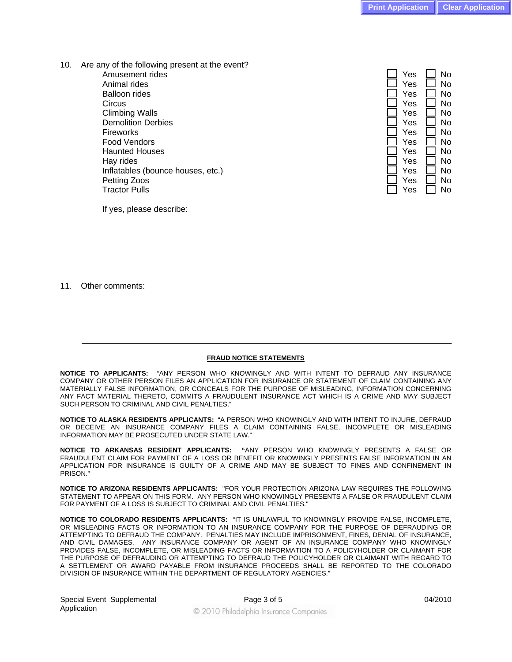10. Are any of the following present at the event? Amusement rides Animal rides Balloon rides Circus → Circus → Circus → Circus → Circus → Circus → Circus → Circus → Circus → Circus → Circus → Circus → Circus → Circus → Circus → Circus → Circus → Circus → Circus → Circus → Circus → Circus → Circus → Circus → Circu Climbing Walls **Demolition Derbies**  Fireworks Yes No Food Vendors Haunted Houses Hay rides Yes No. 2012 is the South of The South American South American South American South American South A Inflatables (bounce houses, etc.) Petting Zoos Tractor Pulls **Tractor Pulls** 

| Yes | No |
|-----|----|
| Yes | No |
| Yes | No |
| Yes | N٥ |
| Yes | N٥ |
| Yes | No |
| Yes | No |
| Yes | No |
| Yes | No |
| Yes | N٥ |
| Yes | N٥ |
| Yes | No |
| Yes | No |

If yes, please describe:

11. Other comments:

## **FRAUD NOTICE STATEMENTS**

**NOTICE TO APPLICANTS:** "ANY PERSON WHO KNOWINGLY AND WITH INTENT TO DEFRAUD ANY INSURANCE COMPANY OR OTHER PERSON FILES AN APPLICATION FOR INSURANCE OR STATEMENT OF CLAIM CONTAINING ANY MATERIALLY FALSE INFORMATION, OR CONCEALS FOR THE PURPOSE OF MISLEADING, INFORMATION CONCERNING ANY FACT MATERIAL THERETO, COMMITS A FRAUDULENT INSURANCE ACT WHICH IS A CRIME AND MAY SUBJECT SUCH PERSON TO CRIMINAL AND CIVIL PENALTIES."

**NOTICE TO ALASKA RESIDENTS APPLICANTS:** "A PERSON WHO KNOWINGLY AND WITH INTENT TO INJURE, DEFRAUD OR DECEIVE AN INSURANCE COMPANY FILES A CLAIM CONTAINING FALSE, INCOMPLETE OR MISLEADING INFORMATION MAY BE PROSECUTED UNDER STATE LAW."

**NOTICE TO ARKANSAS RESIDENT APPLICANTS: "**ANY PERSON WHO KNOWINGLY PRESENTS A FALSE OR FRAUDULENT CLAIM FOR PAYMENT OF A LOSS OR BENEFIT OR KNOWINGLY PRESENTS FALSE INFORMATION IN AN APPLICATION FOR INSURANCE IS GUILTY OF A CRIME AND MAY BE SUBJECT TO FINES AND CONFINEMENT IN PRISON."

**NOTICE TO ARIZONA RESIDENTS APPLICANTS:** "FOR YOUR PROTECTION ARIZONA LAW REQUIRES THE FOLLOWING STATEMENT TO APPEAR ON THIS FORM. ANY PERSON WHO KNOWINGLY PRESENTS A FALSE OR FRAUDULENT CLAIM FOR PAYMENT OF A LOSS IS SUBJECT TO CRIMINAL AND CIVIL PENALTIES."

**NOTICE TO COLORADO RESIDENTS APPLICANTS:** "IT IS UNLAWFUL TO KNOWINGLY PROVIDE FALSE, INCOMPLETE, OR MISLEADING FACTS OR INFORMATION TO AN INSURANCE COMPANY FOR THE PURPOSE OF DEFRAUDING OR ATTEMPTING TO DEFRAUD THE COMPANY. PENALTIES MAY INCLUDE IMPRISONMENT, FINES, DENIAL OF INSURANCE, AND CIVIL DAMAGES. ANY INSURANCE COMPANY OR AGENT OF AN INSURANCE COMPANY WHO KNOWINGLY PROVIDES FALSE, INCOMPLETE, OR MISLEADING FACTS OR INFORMATION TO A POLICYHOLDER OR CLAIMANT FOR THE PURPOSE OF DEFRAUDING OR ATTEMPTING TO DEFRAUD THE POLICYHOLDER OR CLAIMANT WITH REGARD TO A SETTLEMENT OR AWARD PAYABLE FROM INSURANCE PROCEEDS SHALL BE REPORTED TO THE COLORADO DIVISION OF INSURANCE WITHIN THE DEPARTMENT OF REGULATORY AGENCIES."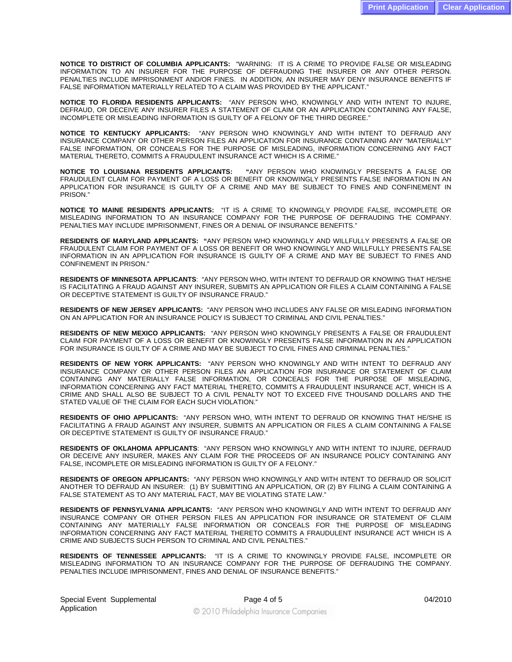**NOTICE TO DISTRICT OF COLUMBIA APPLICANTS:** "WARNING: IT IS A CRIME TO PROVIDE FALSE OR MISLEADING INFORMATION TO AN INSURER FOR THE PURPOSE OF DEFRAUDING THE INSURER OR ANY OTHER PERSON. PENALTIES INCLUDE IMPRISONMENT AND/OR FINES. IN ADDITION, AN INSURER MAY DENY INSURANCE BENEFITS IF FALSE INFORMATION MATERIALLY RELATED TO A CLAIM WAS PROVIDED BY THE APPLICANT."

**NOTICE TO FLORIDA RESIDENTS APPLICANTS:** "ANY PERSON WHO, KNOWINGLY AND WITH INTENT TO INJURE, DEFRAUD, OR DECEIVE ANY INSURER FILES A STATEMENT OF CLAIM OR AN APPLICATION CONTAINING ANY FALSE, INCOMPLETE OR MISLEADING INFORMATION IS GUILTY OF A FELONY OF THE THIRD DEGREE."

**NOTICE TO KENTUCKY APPLICANTS:** "ANY PERSON WHO KNOWINGLY AND WITH INTENT TO DEFRAUD ANY INSURANCE COMPANY OR OTHER PERSON FILES AN APPLICATION FOR INSURANCE CONTAINING ANY "MATERIALLY" FALSE INFORMATION, OR CONCEALS FOR THE PURPOSE OF MISLEADING, INFORMATION CONCERNING ANY FACT MATERIAL THERETO, COMMITS A FRAUDULENT INSURANCE ACT WHICH IS A CRIME."

**NOTICE TO LOUISIANA RESIDENTS APPLICANTS: "**ANY PERSON WHO KNOWINGLY PRESENTS A FALSE OR FRAUDULENT CLAIM FOR PAYMENT OF A LOSS OR BENEFIT OR KNOWINGLY PRESENTS FALSE INFORMATION IN AN APPLICATION FOR INSURANCE IS GUILTY OF A CRIME AND MAY BE SUBJECT TO FINES AND CONFINEMENT IN PRISON."

**NOTICE TO MAINE RESIDENTS APPLICANTS:** "IT IS A CRIME TO KNOWINGLY PROVIDE FALSE, INCOMPLETE OR MISLEADING INFORMATION TO AN INSURANCE COMPANY FOR THE PURPOSE OF DEFRAUDING THE COMPANY. PENALTIES MAY INCLUDE IMPRISONMENT, FINES OR A DENIAL OF INSURANCE BENEFITS."

**RESIDENTS OF MARYLAND APPLICANTS: "**ANY PERSON WHO KNOWINGLY AND WILLFULLY PRESENTS A FALSE OR FRAUDULENT CLAIM FOR PAYMENT OF A LOSS OR BENEFIT OR WHO KNOWINGLY AND WILLFULLY PRESENTS FALSE INFORMATION IN AN APPLICATION FOR INSURANCE IS GUILTY OF A CRIME AND MAY BE SUBJECT TO FINES AND CONFINEMENT IN PRISON."

**RESIDENTS OF MINNESOTA APPLICANTS**: "ANY PERSON WHO, WITH INTENT TO DEFRAUD OR KNOWING THAT HE/SHE IS FACILITATING A FRAUD AGAINST ANY INSURER, SUBMITS AN APPLICATION OR FILES A CLAIM CONTAINING A FALSE OR DECEPTIVE STATEMENT IS GUILTY OF INSURANCE FRAUD."

**RESIDENTS OF NEW JERSEY APPLICANTS:** "ANY PERSON WHO INCLUDES ANY FALSE OR MISLEADING INFORMATION ON AN APPLICATION FOR AN INSURANCE POLICY IS SUBJECT TO CRIMINAL AND CIVIL PENALTIES."

**RESIDENTS OF NEW MEXICO APPLICANTS:** "ANY PERSON WHO KNOWINGLY PRESENTS A FALSE OR FRAUDULENT CLAIM FOR PAYMENT OF A LOSS OR BENEFIT OR KNOWINGLY PRESENTS FALSE INFORMATION IN AN APPLICATION FOR INSURANCE IS GUILTY OF A CRIME AND MAY BE SUBJECT TO CIVIL FINES AND CRIMINAL PENALTIES."

**RESIDENTS OF NEW YORK APPLICANTS:** "ANY PERSON WHO KNOWINGLY AND WITH INTENT TO DEFRAUD ANY INSURANCE COMPANY OR OTHER PERSON FILES AN APPLICATION FOR INSURANCE OR STATEMENT OF CLAIM CONTAINING ANY MATERIALLY FALSE INFORMATION, OR CONCEALS FOR THE PURPOSE OF MISLEADING, INFORMATION CONCERNING ANY FACT MATERIAL THERETO, COMMITS A FRAUDULENT INSURANCE ACT, WHICH IS A CRIME AND SHALL ALSO BE SUBJECT TO A CIVIL PENALTY NOT TO EXCEED FIVE THOUSAND DOLLARS AND THE STATED VALUE OF THE CLAIM FOR EACH SUCH VIOLATION."

**RESIDENTS OF OHIO APPLICANTS:** "ANY PERSON WHO, WITH INTENT TO DEFRAUD OR KNOWING THAT HE/SHE IS FACILITATING A FRAUD AGAINST ANY INSURER, SUBMITS AN APPLICATION OR FILES A CLAIM CONTAINING A FALSE OR DECEPTIVE STATEMENT IS GUILTY OF INSURANCE FRAUD."

**RESIDENTS OF OKLAHOMA APPLICANTS**: "ANY PERSON WHO KNOWINGLY AND WITH INTENT TO INJURE, DEFRAUD OR DECEIVE ANY INSURER, MAKES ANY CLAIM FOR THE PROCEEDS OF AN INSURANCE POLICY CONTAINING ANY FALSE, INCOMPLETE OR MISLEADING INFORMATION IS GUILTY OF A FELONY."

**RESIDENTS OF OREGON APPLICANTS:** "ANY PERSON WHO KNOWINGLY AND WITH INTENT TO DEFRAUD OR SOLICIT ANOTHER TO DEFRAUD AN INSURER: (1) BY SUBMITTING AN APPLICATION, OR (2) BY FILING A CLAIM CONTAINING A FALSE STATEMENT AS TO ANY MATERIAL FACT, MAY BE VIOLATING STATE LAW."

**RESIDENTS OF PENNSYLVANIA APPLICANTS:** "ANY PERSON WHO KNOWINGLY AND WITH INTENT TO DEFRAUD ANY INSURANCE COMPANY OR OTHER PERSON FILES AN APPLICATION FOR INSURANCE OR STATEMENT OF CLAIM CONTAINING ANY MATERIALLY FALSE INFORMATION OR CONCEALS FOR THE PURPOSE OF MISLEADING INFORMATION CONCERNING ANY FACT MATERIAL THERETO COMMITS A FRAUDULENT INSURANCE ACT WHICH IS A CRIME AND SUBJECTS SUCH PERSON TO CRIMINAL AND CIVIL PENALTIES."

**RESIDENTS OF TENNESSEE APPLICANTS:** "IT IS A CRIME TO KNOWINGLY PROVIDE FALSE, INCOMPLETE OR MISLEADING INFORMATION TO AN INSURANCE COMPANY FOR THE PURPOSE OF DEFRAUDING THE COMPANY. PENALTIES INCLUDE IMPRISONMENT, FINES AND DENIAL OF INSURANCE BENEFITS."